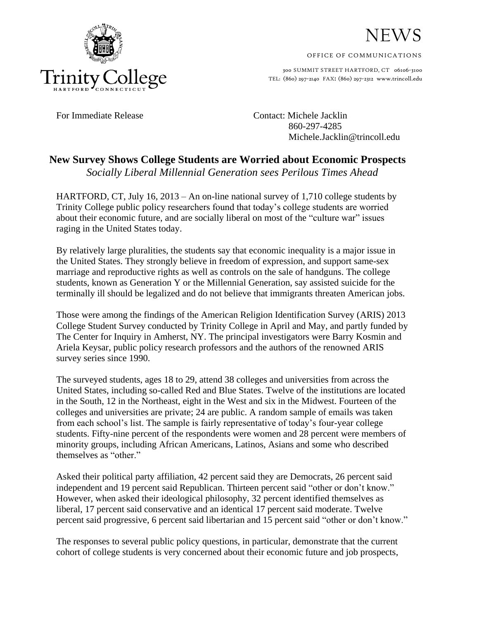



OFFICE OF COMMUNICATIONS

300 SUMMIT STREET HARTFORD, CT 06106-3100 TEL: (860) 297-2140 FAX: (860) 297-2312 www.trincoll.edu

For Immediate Release Contact: Michele Jacklin 860-297-4285 Michele.Jacklin@trincoll.edu

## **New Survey Shows College Students are Worried about Economic Prospects** *Socially Liberal Millennial Generation sees Perilous Times Ahead*

HARTFORD, CT, July 16, 2013 – An on-line national survey of 1,710 college students by Trinity College public policy researchers found that today's college students are worried about their economic future, and are socially liberal on most of the "culture war" issues raging in the United States today.

By relatively large pluralities, the students say that economic inequality is a major issue in the United States. They strongly believe in freedom of expression, and support same-sex marriage and reproductive rights as well as controls on the sale of handguns. The college students, known as Generation Y or the Millennial Generation, say assisted suicide for the terminally ill should be legalized and do not believe that immigrants threaten American jobs.

Those were among the findings of the American Religion Identification Survey (ARIS) 2013 College Student Survey conducted by Trinity College in April and May, and partly funded by The Center for Inquiry in Amherst, NY. The principal investigators were Barry Kosmin and Ariela Keysar, public policy research professors and the authors of the renowned ARIS survey series since 1990.

The surveyed students, ages 18 to 29, attend 38 colleges and universities from across the United States, including so-called Red and Blue States. Twelve of the institutions are located in the South, 12 in the Northeast, eight in the West and six in the Midwest. Fourteen of the colleges and universities are private; 24 are public. A random sample of emails was taken from each school's list. The sample is fairly representative of today's four-year college students. Fifty-nine percent of the respondents were women and 28 percent were members of minority groups, including African Americans, Latinos, Asians and some who described themselves as "other."

Asked their political party affiliation, 42 percent said they are Democrats, 26 percent said independent and 19 percent said Republican. Thirteen percent said "other or don't know." However, when asked their ideological philosophy, 32 percent identified themselves as liberal, 17 percent said conservative and an identical 17 percent said moderate. Twelve percent said progressive, 6 percent said libertarian and 15 percent said "other or don't know."

The responses to several public policy questions, in particular, demonstrate that the current cohort of college students is very concerned about their economic future and job prospects,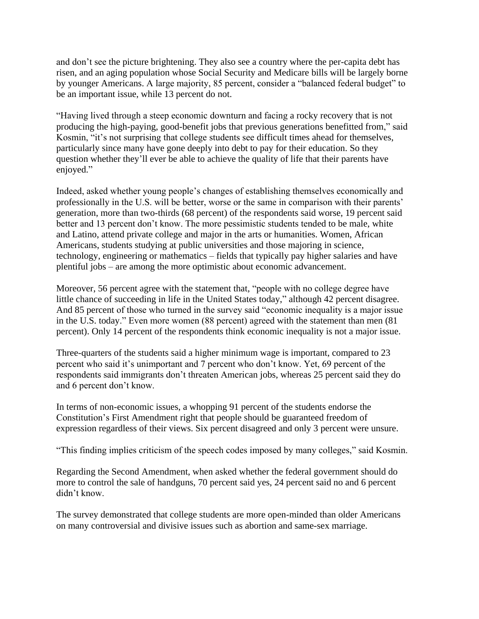and don't see the picture brightening. They also see a country where the per-capita debt has risen, and an aging population whose Social Security and Medicare bills will be largely borne by younger Americans. A large majority, 85 percent, consider a "balanced federal budget" to be an important issue, while 13 percent do not.

"Having lived through a steep economic downturn and facing a rocky recovery that is not producing the high-paying, good-benefit jobs that previous generations benefitted from," said Kosmin, "it's not surprising that college students see difficult times ahead for themselves, particularly since many have gone deeply into debt to pay for their education. So they question whether they'll ever be able to achieve the quality of life that their parents have enjoyed."

Indeed, asked whether young people's changes of establishing themselves economically and professionally in the U.S. will be better, worse or the same in comparison with their parents' generation, more than two-thirds (68 percent) of the respondents said worse, 19 percent said better and 13 percent don't know. The more pessimistic students tended to be male, white and Latino, attend private college and major in the arts or humanities. Women, African Americans, students studying at public universities and those majoring in science, technology, engineering or mathematics – fields that typically pay higher salaries and have plentiful jobs – are among the more optimistic about economic advancement.

Moreover, 56 percent agree with the statement that, "people with no college degree have little chance of succeeding in life in the United States today," although 42 percent disagree. And 85 percent of those who turned in the survey said "economic inequality is a major issue in the U.S. today." Even more women (88 percent) agreed with the statement than men (81 percent). Only 14 percent of the respondents think economic inequality is not a major issue.

Three-quarters of the students said a higher minimum wage is important, compared to 23 percent who said it's unimportant and 7 percent who don't know. Yet, 69 percent of the respondents said immigrants don't threaten American jobs, whereas 25 percent said they do and 6 percent don't know.

In terms of non-economic issues, a whopping 91 percent of the students endorse the Constitution's First Amendment right that people should be guaranteed freedom of expression regardless of their views. Six percent disagreed and only 3 percent were unsure.

"This finding implies criticism of the speech codes imposed by many colleges," said Kosmin.

Regarding the Second Amendment, when asked whether the federal government should do more to control the sale of handguns, 70 percent said yes, 24 percent said no and 6 percent didn't know.

The survey demonstrated that college students are more open-minded than older Americans on many controversial and divisive issues such as abortion and same-sex marriage.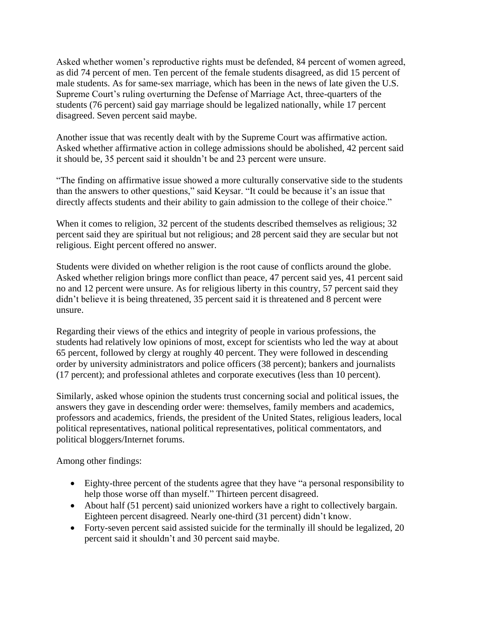Asked whether women's reproductive rights must be defended, 84 percent of women agreed, as did 74 percent of men. Ten percent of the female students disagreed, as did 15 percent of male students. As for same-sex marriage, which has been in the news of late given the U.S. Supreme Court's ruling overturning the Defense of Marriage Act, three-quarters of the students (76 percent) said gay marriage should be legalized nationally, while 17 percent disagreed. Seven percent said maybe.

Another issue that was recently dealt with by the Supreme Court was affirmative action. Asked whether affirmative action in college admissions should be abolished, 42 percent said it should be, 35 percent said it shouldn't be and 23 percent were unsure.

"The finding on affirmative issue showed a more culturally conservative side to the students than the answers to other questions," said Keysar. "It could be because it's an issue that directly affects students and their ability to gain admission to the college of their choice."

When it comes to religion, 32 percent of the students described themselves as religious; 32 percent said they are spiritual but not religious; and 28 percent said they are secular but not religious. Eight percent offered no answer.

Students were divided on whether religion is the root cause of conflicts around the globe. Asked whether religion brings more conflict than peace, 47 percent said yes, 41 percent said no and 12 percent were unsure. As for religious liberty in this country, 57 percent said they didn't believe it is being threatened, 35 percent said it is threatened and 8 percent were unsure.

Regarding their views of the ethics and integrity of people in various professions, the students had relatively low opinions of most, except for scientists who led the way at about 65 percent, followed by clergy at roughly 40 percent. They were followed in descending order by university administrators and police officers (38 percent); bankers and journalists (17 percent); and professional athletes and corporate executives (less than 10 percent).

Similarly, asked whose opinion the students trust concerning social and political issues, the answers they gave in descending order were: themselves, family members and academics, professors and academics, friends, the president of the United States, religious leaders, local political representatives, national political representatives, political commentators, and political bloggers/Internet forums.

Among other findings:

- Eighty-three percent of the students agree that they have "a personal responsibility to help those worse off than myself." Thirteen percent disagreed.
- About half (51 percent) said unionized workers have a right to collectively bargain. Eighteen percent disagreed. Nearly one-third (31 percent) didn't know.
- Forty-seven percent said assisted suicide for the terminally ill should be legalized, 20 percent said it shouldn't and 30 percent said maybe.